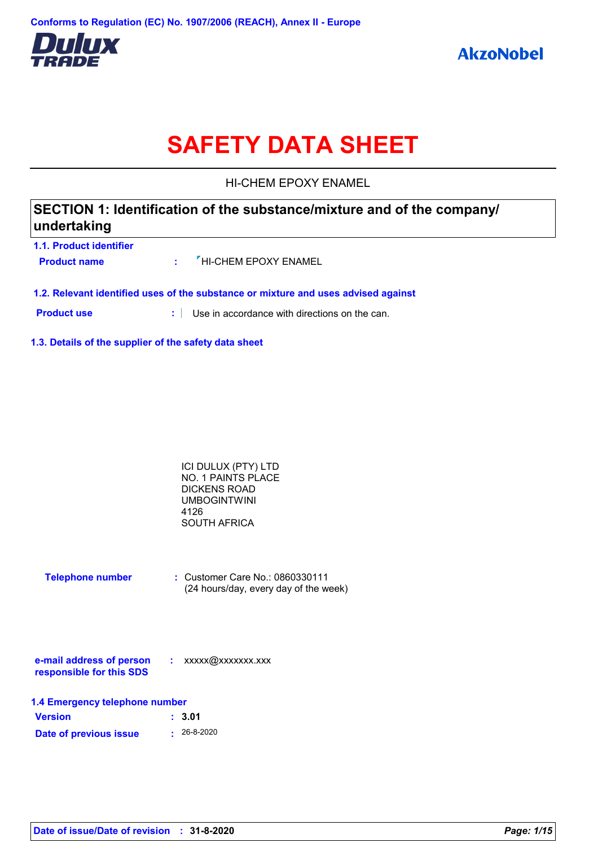

# **SAFETY DATA SHEET**

HI-CHEM EPOXY ENAMEL

| SECTION 1: Identification of the substance/mixture and of the company/<br>undertaking |  |                                                                                    |  |
|---------------------------------------------------------------------------------------|--|------------------------------------------------------------------------------------|--|
| <b>1.1. Product identifier</b><br><b>Product name</b>                                 |  | $\frac{1}{2}$ $\frac{1}{2}$ HI-CHEM EPOXY ENAMEL                                   |  |
|                                                                                       |  | 1.2. Relevant identified uses of the substance or mixture and uses advised against |  |

**Product use :** Use in accordance with directions on the can.

**1.3. Details of the supplier of the safety data sheet**

| ICI DULUX (PTY) LTD |  |
|---------------------|--|
| NO. 1 PAINTS PLACE  |  |
| DICKENS ROAD        |  |
| <b>UMBOGINTWINI</b> |  |
| 4126                |  |
| <b>SOUTH AFRICA</b> |  |

| <b>Telephone number</b> | : Customer Care No.: 0860330111       |
|-------------------------|---------------------------------------|
|                         | (24 hours/day, every day of the week) |

| e-mail address of person | xxxxx@xxxxxxx.xxx |
|--------------------------|-------------------|
| responsible for this SDS |                   |

| 1.4 Emergency telephone number |                   |  |
|--------------------------------|-------------------|--|
| <b>Version</b>                 | : 3.01            |  |
| Date of previous issue         | $\cdot$ 26-8-2020 |  |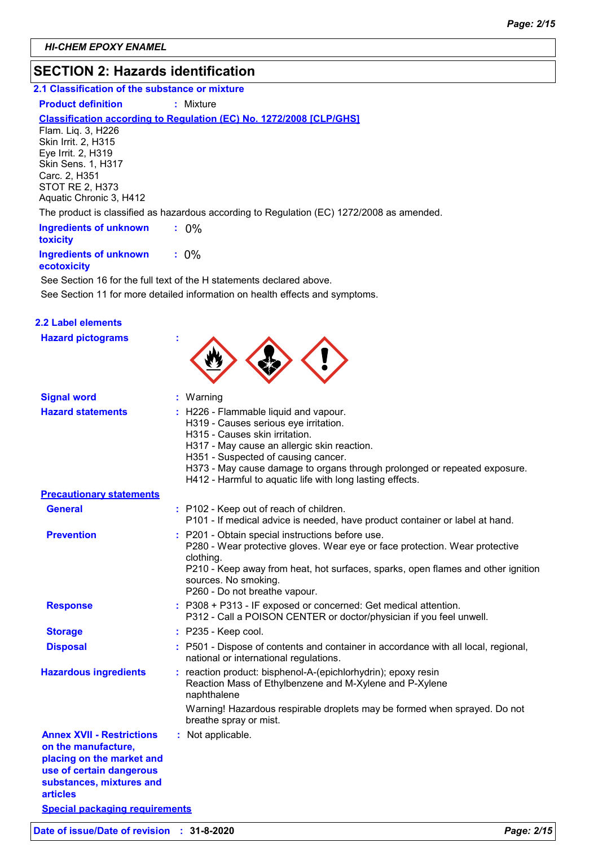### **SECTION 2: Hazards identification**

#### **2.1 Classification of the substance or mixture**

#### **Product definition : Mixture**

#### **Classification according to Regulation (EC) No. 1272/2008 [CLP/GHS]**

Flam. Liq. 3, H226 Skin Irrit. 2, H315 Eye Irrit. 2, H319 Skin Sens. 1, H317 Carc. 2, H351 STOT RE 2, H373 Aquatic Chronic 3, H412

The product is classified as hazardous according to Regulation (EC) 1272/2008 as amended.

| <b>Ingredients of unknown</b><br><b>toxicity</b> | $: 0\%$ |  |
|--------------------------------------------------|---------|--|
| <b>Ingredients of unknown</b>                    | $: 0\%$ |  |

#### **ecotoxicity**

See Section 11 for more detailed information on health effects and symptoms. See Section 16 for the full text of the H statements declared above.

| <b>2.2 Label elements</b><br><b>Hazard pictograms</b>                                                                                                           |                                                                                                                                                                                                                                                                                                                                                  |
|-----------------------------------------------------------------------------------------------------------------------------------------------------------------|--------------------------------------------------------------------------------------------------------------------------------------------------------------------------------------------------------------------------------------------------------------------------------------------------------------------------------------------------|
| <b>Signal word</b>                                                                                                                                              | : Warning                                                                                                                                                                                                                                                                                                                                        |
| <b>Hazard statements</b>                                                                                                                                        | : H226 - Flammable liquid and vapour.<br>H319 - Causes serious eye irritation.<br>H315 - Causes skin irritation.<br>H317 - May cause an allergic skin reaction.<br>H351 - Suspected of causing cancer.<br>H373 - May cause damage to organs through prolonged or repeated exposure.<br>H412 - Harmful to aquatic life with long lasting effects. |
| <b>Precautionary statements</b>                                                                                                                                 |                                                                                                                                                                                                                                                                                                                                                  |
| <b>General</b>                                                                                                                                                  | : P102 - Keep out of reach of children.<br>P101 - If medical advice is needed, have product container or label at hand.                                                                                                                                                                                                                          |
| <b>Prevention</b>                                                                                                                                               | : P201 - Obtain special instructions before use.<br>P280 - Wear protective gloves. Wear eye or face protection. Wear protective<br>clothing.<br>P210 - Keep away from heat, hot surfaces, sparks, open flames and other ignition<br>sources. No smoking.<br>P260 - Do not breathe vapour.                                                        |
| <b>Response</b>                                                                                                                                                 | : P308 + P313 - IF exposed or concerned: Get medical attention.<br>P312 - Call a POISON CENTER or doctor/physician if you feel unwell.                                                                                                                                                                                                           |
| <b>Storage</b>                                                                                                                                                  | $:$ P235 - Keep cool.                                                                                                                                                                                                                                                                                                                            |
| <b>Disposal</b>                                                                                                                                                 | : P501 - Dispose of contents and container in accordance with all local, regional,<br>national or international regulations.                                                                                                                                                                                                                     |
| <b>Hazardous ingredients</b>                                                                                                                                    | : reaction product: bisphenol-A-(epichlorhydrin); epoxy resin<br>Reaction Mass of Ethylbenzene and M-Xylene and P-Xylene<br>naphthalene<br>Warning! Hazardous respirable droplets may be formed when sprayed. Do not<br>breathe spray or mist.                                                                                                   |
| <b>Annex XVII - Restrictions</b><br>on the manufacture,<br>placing on the market and<br>use of certain dangerous<br>substances, mixtures and<br><b>articles</b> | : Not applicable.                                                                                                                                                                                                                                                                                                                                |

**Special packaging requirements**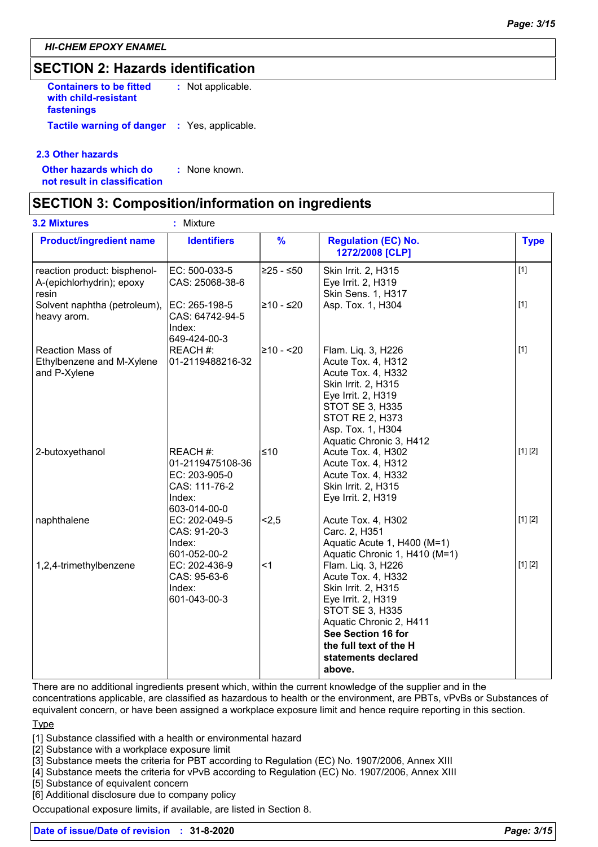### **SECTION 2: Hazards identification**

**Containers to be fitted with child-resistant fastenings :** Not applicable. **Tactile warning of danger :** Yes, applicable.

#### **2.3 Other hazards**

**Other hazards which do : not result in classification** : None known.

### **SECTION 3: Composition/information on ingredients**

| <b>3.2 Mixtures</b>                                                | ÷<br>Mixture                                                                             |               |                                                                                                                                                                                                                             |             |
|--------------------------------------------------------------------|------------------------------------------------------------------------------------------|---------------|-----------------------------------------------------------------------------------------------------------------------------------------------------------------------------------------------------------------------------|-------------|
| <b>Product/ingredient name</b>                                     | <b>Identifiers</b>                                                                       | $\frac{9}{6}$ | <b>Regulation (EC) No.</b><br>1272/2008 [CLP]                                                                                                                                                                               | <b>Type</b> |
| reaction product: bisphenol-<br>A-(epichlorhydrin); epoxy<br>resin | EC: 500-033-5<br>CAS: 25068-38-6                                                         | 225 - ≤50∣    | Skin Irrit. 2, H315<br>Eye Irrit. 2, H319<br>Skin Sens. 1, H317                                                                                                                                                             | $[1]$       |
| Solvent naphtha (petroleum),<br>heavy arom.                        | EC: 265-198-5<br>CAS: 64742-94-5<br>Index:<br>649-424-00-3                               | l≥10 - ≤20    | Asp. Tox. 1, H304                                                                                                                                                                                                           | $[1]$       |
| Reaction Mass of<br>Ethylbenzene and M-Xylene<br>and P-Xylene      | REACH #:<br>01-2119488216-32                                                             | 210 - <20     | Flam. Liq. 3, H226<br>Acute Tox. 4, H312<br>Acute Tox. 4, H332<br>Skin Irrit. 2, H315<br>Eye Irrit. 2, H319<br><b>STOT SE 3, H335</b><br><b>STOT RE 2, H373</b><br>Asp. Tox. 1, H304<br>Aquatic Chronic 3, H412             | $[1]$       |
| 2-butoxyethanol                                                    | REACH #:<br>01-2119475108-36<br>EC: 203-905-0<br>CAS: 111-76-2<br>Index:<br>603-014-00-0 | 510∣          | Acute Tox. 4, H302<br>Acute Tox. 4, H312<br>Acute Tox. 4, H332<br>Skin Irrit. 2, H315<br>Eye Irrit. 2, H319                                                                                                                 | [1] [2]     |
| naphthalene                                                        | EC: 202-049-5<br>CAS: 91-20-3<br>Index:<br>601-052-00-2                                  | < 2, 5        | Acute Tox. 4, H302<br>Carc. 2, H351<br>Aquatic Acute 1, H400 (M=1)<br>Aquatic Chronic 1, H410 (M=1)                                                                                                                         | [1] [2]     |
| 1,2,4-trimethylbenzene                                             | EC: 202-436-9<br>CAS: 95-63-6<br>Index:<br>601-043-00-3                                  | ∣<1           | Flam. Liq. 3, H226<br>Acute Tox. 4, H332<br>Skin Irrit. 2, H315<br>Eye Irrit. 2, H319<br><b>STOT SE 3, H335</b><br>Aquatic Chronic 2, H411<br>See Section 16 for<br>the full text of the H<br>statements declared<br>above. | [1] [2]     |

There are no additional ingredients present which, within the current knowledge of the supplier and in the

concentrations applicable, are classified as hazardous to health or the environment, are PBTs, vPvBs or Substances of equivalent concern, or have been assigned a workplace exposure limit and hence require reporting in this section.

#### Type

[1] Substance classified with a health or environmental hazard

[2] Substance with a workplace exposure limit

[3] Substance meets the criteria for PBT according to Regulation (EC) No. 1907/2006, Annex XIII

[4] Substance meets the criteria for vPvB according to Regulation (EC) No. 1907/2006, Annex XIII

[5] Substance of equivalent concern

[6] Additional disclosure due to company policy

Occupational exposure limits, if available, are listed in Section 8.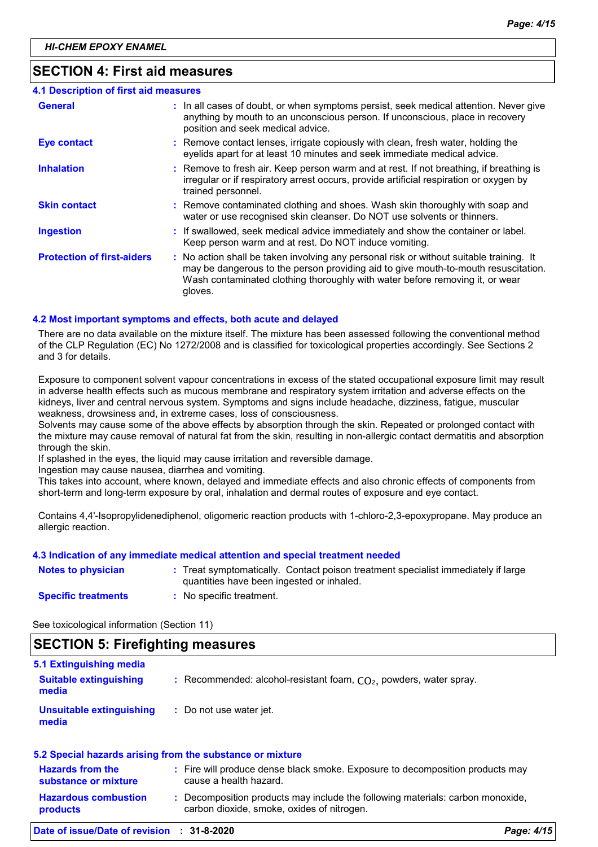### **SECTION 4: First aid measures**

| 4.1 Description of first aid measures |                                                                                                                                                                                                                                                                          |
|---------------------------------------|--------------------------------------------------------------------------------------------------------------------------------------------------------------------------------------------------------------------------------------------------------------------------|
| <b>General</b>                        | : In all cases of doubt, or when symptoms persist, seek medical attention. Never give<br>anything by mouth to an unconscious person. If unconscious, place in recovery<br>position and seek medical advice.                                                              |
| <b>Eye contact</b>                    | : Remove contact lenses, irrigate copiously with clean, fresh water, holding the<br>eyelids apart for at least 10 minutes and seek immediate medical advice.                                                                                                             |
| <b>Inhalation</b>                     | : Remove to fresh air. Keep person warm and at rest. If not breathing, if breathing is<br>irregular or if respiratory arrest occurs, provide artificial respiration or oxygen by<br>trained personnel.                                                                   |
| <b>Skin contact</b>                   | : Remove contaminated clothing and shoes. Wash skin thoroughly with soap and<br>water or use recognised skin cleanser. Do NOT use solvents or thinners.                                                                                                                  |
| <b>Ingestion</b>                      | : If swallowed, seek medical advice immediately and show the container or label.<br>Keep person warm and at rest. Do NOT induce vomiting.                                                                                                                                |
| <b>Protection of first-aiders</b>     | : No action shall be taken involving any personal risk or without suitable training. It<br>may be dangerous to the person providing aid to give mouth-to-mouth resuscitation.<br>Wash contaminated clothing thoroughly with water before removing it, or wear<br>gloves. |

#### **4.2 Most important symptoms and effects, both acute and delayed**

There are no data available on the mixture itself. The mixture has been assessed following the conventional method of the CLP Regulation (EC) No 1272/2008 and is classified for toxicological properties accordingly. See Sections 2 and 3 for details.

Exposure to component solvent vapour concentrations in excess of the stated occupational exposure limit may result in adverse health effects such as mucous membrane and respiratory system irritation and adverse effects on the kidneys, liver and central nervous system. Symptoms and signs include headache, dizziness, fatigue, muscular weakness, drowsiness and, in extreme cases, loss of consciousness.

Solvents may cause some of the above effects by absorption through the skin. Repeated or prolonged contact with the mixture may cause removal of natural fat from the skin, resulting in non-allergic contact dermatitis and absorption through the skin.

If splashed in the eyes, the liquid may cause irritation and reversible damage.

Ingestion may cause nausea, diarrhea and vomiting.

This takes into account, where known, delayed and immediate effects and also chronic effects of components from short-term and long-term exposure by oral, inhalation and dermal routes of exposure and eye contact.

Contains 4,4'-Isopropylidenediphenol, oligomeric reaction products with 1-chloro-2,3-epoxypropane. May produce an allergic reaction.

#### **4.3 Indication of any immediate medical attention and special treatment needed**

| <b>Notes to physician</b>  | Treat symptomatically. Contact poison treatment specialist immediately if large<br>quantities have been ingested or inhaled. |
|----------------------------|------------------------------------------------------------------------------------------------------------------------------|
| <b>Specific treatments</b> | No specific treatment.                                                                                                       |

See toxicological information (Section 11)

### **SECTION 5: Firefighting measures**

| Date of issue/Date of revision : 31-8-2020                | Page: 4/15                                                                                                                   |  |
|-----------------------------------------------------------|------------------------------------------------------------------------------------------------------------------------------|--|
| <b>Hazardous combustion</b><br>products                   | : Decomposition products may include the following materials: carbon monoxide,<br>carbon dioxide, smoke, oxides of nitrogen. |  |
| <b>Hazards from the</b><br>substance or mixture           | : Fire will produce dense black smoke. Exposure to decomposition products may<br>cause a health hazard.                      |  |
| 5.2 Special hazards arising from the substance or mixture |                                                                                                                              |  |
| <b>Unsuitable extinguishing</b><br>media                  | : Do not use water jet.                                                                                                      |  |
| <b>Suitable extinguishing</b><br>media                    | : Recommended: alcohol-resistant foam, $CO2$ , powders, water spray.                                                         |  |
| 5.1 Extinguishing media                                   |                                                                                                                              |  |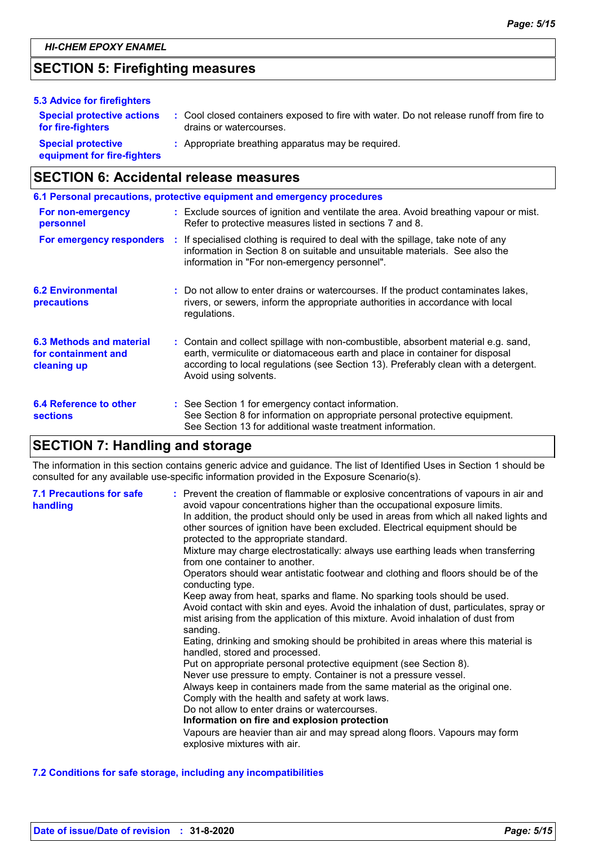### **SECTION 5: Firefighting measures**

| 5.3 Advice for firefighters                              |                                                                                                                    |
|----------------------------------------------------------|--------------------------------------------------------------------------------------------------------------------|
| <b>Special protective actions</b><br>for fire-fighters   | : Cool closed containers exposed to fire with water. Do not release runoff from fire to<br>drains or watercourses. |
| <b>Special protective</b><br>equipment for fire-fighters | : Appropriate breathing apparatus may be required.                                                                 |

### **SECTION 6: Accidental release measures**

|                                                                | 6.1 Personal precautions, protective equipment and emergency procedures                                                                                                                                                                                                            |
|----------------------------------------------------------------|------------------------------------------------------------------------------------------------------------------------------------------------------------------------------------------------------------------------------------------------------------------------------------|
| For non-emergency<br>personnel                                 | : Exclude sources of ignition and ventilate the area. Avoid breathing vapour or mist.<br>Refer to protective measures listed in sections 7 and 8.                                                                                                                                  |
| For emergency responders                                       | : If specialised clothing is required to deal with the spillage, take note of any<br>information in Section 8 on suitable and unsuitable materials. See also the<br>information in "For non-emergency personnel".                                                                  |
| <b>6.2 Environmental</b><br>precautions                        | : Do not allow to enter drains or watercourses. If the product contaminates lakes,<br>rivers, or sewers, inform the appropriate authorities in accordance with local<br>regulations.                                                                                               |
| 6.3 Methods and material<br>for containment and<br>cleaning up | : Contain and collect spillage with non-combustible, absorbent material e.g. sand,<br>earth, vermiculite or diatomaceous earth and place in container for disposal<br>according to local regulations (see Section 13). Preferably clean with a detergent.<br>Avoid using solvents. |
| 6.4 Reference to other<br><b>sections</b>                      | : See Section 1 for emergency contact information.<br>See Section 8 for information on appropriate personal protective equipment.<br>See Section 13 for additional waste treatment information.                                                                                    |

### **SECTION 7: Handling and storage**

The information in this section contains generic advice and guidance. The list of Identified Uses in Section 1 should be consulted for any available use-specific information provided in the Exposure Scenario(s).

| <b>7.1 Precautions for safe</b><br>handling | : Prevent the creation of flammable or explosive concentrations of vapours in air and<br>avoid vapour concentrations higher than the occupational exposure limits.<br>In addition, the product should only be used in areas from which all naked lights and<br>other sources of ignition have been excluded. Electrical equipment should be<br>protected to the appropriate standard.<br>Mixture may charge electrostatically: always use earthing leads when transferring<br>from one container to another.<br>Operators should wear antistatic footwear and clothing and floors should be of the<br>conducting type.<br>Keep away from heat, sparks and flame. No sparking tools should be used.<br>Avoid contact with skin and eyes. Avoid the inhalation of dust, particulates, spray or<br>mist arising from the application of this mixture. Avoid inhalation of dust from<br>sanding.<br>Eating, drinking and smoking should be prohibited in areas where this material is<br>handled, stored and processed.<br>Put on appropriate personal protective equipment (see Section 8).<br>Never use pressure to empty. Container is not a pressure vessel.<br>Always keep in containers made from the same material as the original one.<br>Comply with the health and safety at work laws.<br>Do not allow to enter drains or watercourses.<br>Information on fire and explosion protection<br>Vapours are heavier than air and may spread along floors. Vapours may form<br>explosive mixtures with air. |
|---------------------------------------------|--------------------------------------------------------------------------------------------------------------------------------------------------------------------------------------------------------------------------------------------------------------------------------------------------------------------------------------------------------------------------------------------------------------------------------------------------------------------------------------------------------------------------------------------------------------------------------------------------------------------------------------------------------------------------------------------------------------------------------------------------------------------------------------------------------------------------------------------------------------------------------------------------------------------------------------------------------------------------------------------------------------------------------------------------------------------------------------------------------------------------------------------------------------------------------------------------------------------------------------------------------------------------------------------------------------------------------------------------------------------------------------------------------------------------------------------------------------------------------------------------------------|
|---------------------------------------------|--------------------------------------------------------------------------------------------------------------------------------------------------------------------------------------------------------------------------------------------------------------------------------------------------------------------------------------------------------------------------------------------------------------------------------------------------------------------------------------------------------------------------------------------------------------------------------------------------------------------------------------------------------------------------------------------------------------------------------------------------------------------------------------------------------------------------------------------------------------------------------------------------------------------------------------------------------------------------------------------------------------------------------------------------------------------------------------------------------------------------------------------------------------------------------------------------------------------------------------------------------------------------------------------------------------------------------------------------------------------------------------------------------------------------------------------------------------------------------------------------------------|

#### **7.2 Conditions for safe storage, including any incompatibilities**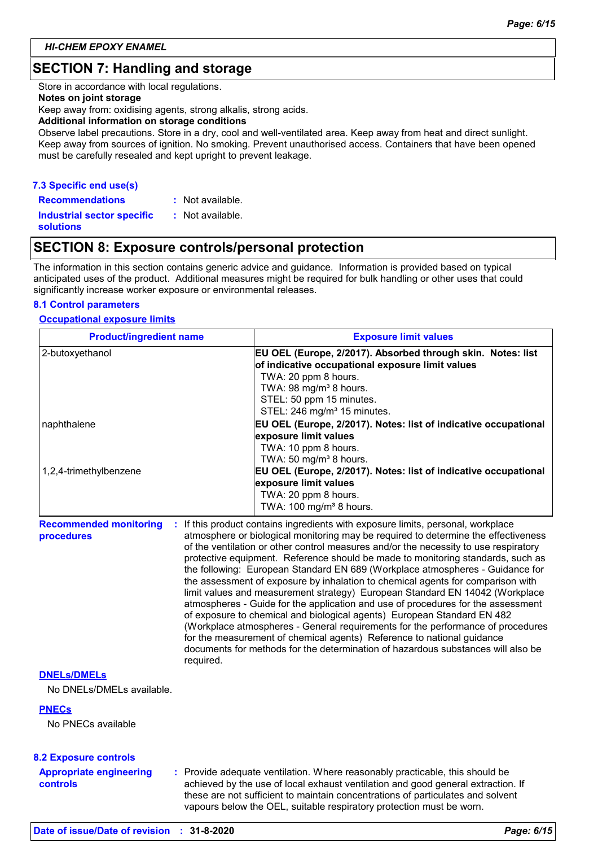### **SECTION 7: Handling and storage**

Store in accordance with local regulations.

#### **Notes on joint storage**

Keep away from: oxidising agents, strong alkalis, strong acids.

#### **Additional information on storage conditions**

Observe label precautions. Store in a dry, cool and well-ventilated area. Keep away from heat and direct sunlight. Keep away from sources of ignition. No smoking. Prevent unauthorised access. Containers that have been opened must be carefully resealed and kept upright to prevent leakage.

#### **7.3 Specific end use(s)**

**Recommendations : Industrial sector specific : solutions** : Not available.

: Not available.

### **SECTION 8: Exposure controls/personal protection**

The information in this section contains generic advice and guidance. Information is provided based on typical anticipated uses of the product. Additional measures might be required for bulk handling or other uses that could significantly increase worker exposure or environmental releases.

#### **8.1 Control parameters**

#### **Occupational exposure limits**

| <b>Product/ingredient name</b>              |           | <b>Exposure limit values</b>                                                                                                                                                                                                                                                                                                                                                                                                                                                                                                                                                                                                                                                                                                                                                                                                                                                                                                                                                                                        |  |  |
|---------------------------------------------|-----------|---------------------------------------------------------------------------------------------------------------------------------------------------------------------------------------------------------------------------------------------------------------------------------------------------------------------------------------------------------------------------------------------------------------------------------------------------------------------------------------------------------------------------------------------------------------------------------------------------------------------------------------------------------------------------------------------------------------------------------------------------------------------------------------------------------------------------------------------------------------------------------------------------------------------------------------------------------------------------------------------------------------------|--|--|
| 2-butoxyethanol                             |           | EU OEL (Europe, 2/2017). Absorbed through skin. Notes: list<br>of indicative occupational exposure limit values<br>TWA: 20 ppm 8 hours.<br>TWA: 98 mg/m <sup>3</sup> 8 hours.<br>STEL: 50 ppm 15 minutes.<br>STEL: 246 mg/m <sup>3</sup> 15 minutes.                                                                                                                                                                                                                                                                                                                                                                                                                                                                                                                                                                                                                                                                                                                                                                |  |  |
| naphthalene                                 |           | EU OEL (Europe, 2/2017). Notes: list of indicative occupational<br>exposure limit values<br>TWA: 10 ppm 8 hours.<br>TWA: 50 mg/m <sup>3</sup> 8 hours.                                                                                                                                                                                                                                                                                                                                                                                                                                                                                                                                                                                                                                                                                                                                                                                                                                                              |  |  |
| 1,2,4-trimethylbenzene                      |           | EU OEL (Europe, 2/2017). Notes: list of indicative occupational<br>exposure limit values<br>TWA: 20 ppm 8 hours.<br>TWA: 100 mg/m <sup>3</sup> 8 hours.                                                                                                                                                                                                                                                                                                                                                                                                                                                                                                                                                                                                                                                                                                                                                                                                                                                             |  |  |
| <b>Recommended monitoring</b><br>procedures | required. | If this product contains ingredients with exposure limits, personal, workplace<br>atmosphere or biological monitoring may be required to determine the effectiveness<br>of the ventilation or other control measures and/or the necessity to use respiratory<br>protective equipment. Reference should be made to monitoring standards, such as<br>the following: European Standard EN 689 (Workplace atmospheres - Guidance for<br>the assessment of exposure by inhalation to chemical agents for comparison with<br>limit values and measurement strategy) European Standard EN 14042 (Workplace<br>atmospheres - Guide for the application and use of procedures for the assessment<br>of exposure to chemical and biological agents) European Standard EN 482<br>(Workplace atmospheres - General requirements for the performance of procedures<br>for the measurement of chemical agents) Reference to national guidance<br>documents for methods for the determination of hazardous substances will also be |  |  |

#### **DNELs/DMELs**

No DNELs/DMELs available.

#### **PNECs**

No PNECs available

|  | <b>8.2 Exposure controls</b> |  |  |
|--|------------------------------|--|--|
|--|------------------------------|--|--|

**Appropriate engineering controls**

**:** Provide adequate ventilation. Where reasonably practicable, this should be achieved by the use of local exhaust ventilation and good general extraction. If these are not sufficient to maintain concentrations of particulates and solvent vapours below the OEL, suitable respiratory protection must be worn.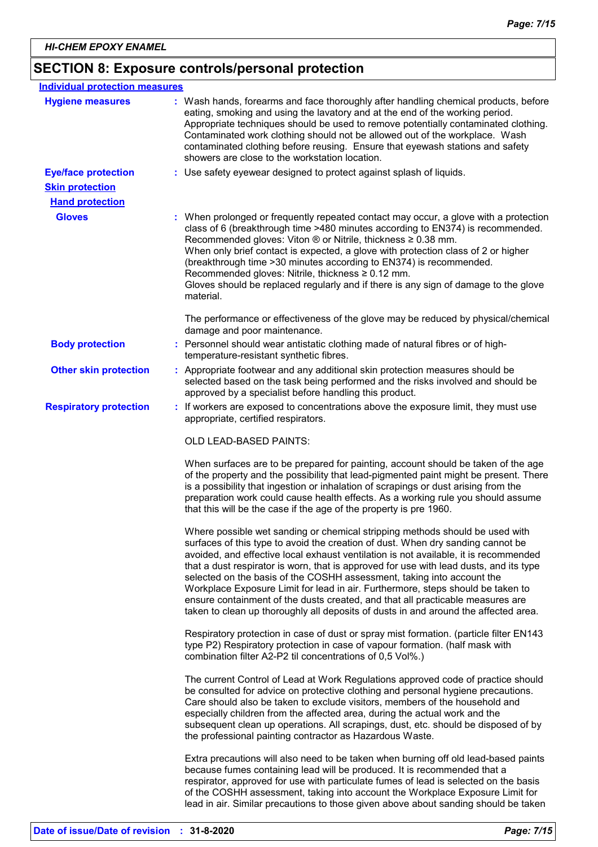## **SECTION 8: Exposure controls/personal protection**

| <b>Individual protection measures</b> |                                                                                                                                                                                                                                                                                                                                                                                                                                                                                                                                                                                                                                                                                         |
|---------------------------------------|-----------------------------------------------------------------------------------------------------------------------------------------------------------------------------------------------------------------------------------------------------------------------------------------------------------------------------------------------------------------------------------------------------------------------------------------------------------------------------------------------------------------------------------------------------------------------------------------------------------------------------------------------------------------------------------------|
| <b>Hygiene measures</b>               | : Wash hands, forearms and face thoroughly after handling chemical products, before<br>eating, smoking and using the lavatory and at the end of the working period.<br>Appropriate techniques should be used to remove potentially contaminated clothing.<br>Contaminated work clothing should not be allowed out of the workplace. Wash<br>contaminated clothing before reusing. Ensure that eyewash stations and safety<br>showers are close to the workstation location.                                                                                                                                                                                                             |
| <b>Eye/face protection</b>            | : Use safety eyewear designed to protect against splash of liquids.                                                                                                                                                                                                                                                                                                                                                                                                                                                                                                                                                                                                                     |
| <b>Skin protection</b>                |                                                                                                                                                                                                                                                                                                                                                                                                                                                                                                                                                                                                                                                                                         |
| <b>Hand protection</b>                |                                                                                                                                                                                                                                                                                                                                                                                                                                                                                                                                                                                                                                                                                         |
| <b>Gloves</b>                         | : When prolonged or frequently repeated contact may occur, a glove with a protection<br>class of 6 (breakthrough time >480 minutes according to EN374) is recommended.<br>Recommended gloves: Viton $\otimes$ or Nitrile, thickness $\geq 0.38$ mm.<br>When only brief contact is expected, a glove with protection class of 2 or higher<br>(breakthrough time > 30 minutes according to EN374) is recommended.<br>Recommended gloves: Nitrile, thickness $\geq 0.12$ mm.<br>Gloves should be replaced regularly and if there is any sign of damage to the glove<br>material.                                                                                                           |
|                                       | The performance or effectiveness of the glove may be reduced by physical/chemical<br>damage and poor maintenance.                                                                                                                                                                                                                                                                                                                                                                                                                                                                                                                                                                       |
| <b>Body protection</b>                | : Personnel should wear antistatic clothing made of natural fibres or of high-<br>temperature-resistant synthetic fibres.                                                                                                                                                                                                                                                                                                                                                                                                                                                                                                                                                               |
| <b>Other skin protection</b>          | : Appropriate footwear and any additional skin protection measures should be<br>selected based on the task being performed and the risks involved and should be<br>approved by a specialist before handling this product.                                                                                                                                                                                                                                                                                                                                                                                                                                                               |
| <b>Respiratory protection</b>         | : If workers are exposed to concentrations above the exposure limit, they must use<br>appropriate, certified respirators.                                                                                                                                                                                                                                                                                                                                                                                                                                                                                                                                                               |
|                                       | OLD LEAD-BASED PAINTS:                                                                                                                                                                                                                                                                                                                                                                                                                                                                                                                                                                                                                                                                  |
|                                       | When surfaces are to be prepared for painting, account should be taken of the age<br>of the property and the possibility that lead-pigmented paint might be present. There<br>is a possibility that ingestion or inhalation of scrapings or dust arising from the<br>preparation work could cause health effects. As a working rule you should assume<br>that this will be the case if the age of the property is pre 1960.                                                                                                                                                                                                                                                             |
|                                       | Where possible wet sanding or chemical stripping methods should be used with<br>surfaces of this type to avoid the creation of dust. When dry sanding cannot be<br>avoided, and effective local exhaust ventilation is not available, it is recommended<br>that a dust respirator is worn, that is approved for use with lead dusts, and its type<br>selected on the basis of the COSHH assessment, taking into account the<br>Workplace Exposure Limit for lead in air. Furthermore, steps should be taken to<br>ensure containment of the dusts created, and that all practicable measures are<br>taken to clean up thoroughly all deposits of dusts in and around the affected area. |
|                                       | Respiratory protection in case of dust or spray mist formation. (particle filter EN143<br>type P2) Respiratory protection in case of vapour formation. (half mask with<br>combination filter A2-P2 til concentrations of 0,5 Vol%.)                                                                                                                                                                                                                                                                                                                                                                                                                                                     |
|                                       | The current Control of Lead at Work Regulations approved code of practice should<br>be consulted for advice on protective clothing and personal hygiene precautions.<br>Care should also be taken to exclude visitors, members of the household and<br>especially children from the affected area, during the actual work and the<br>subsequent clean up operations. All scrapings, dust, etc. should be disposed of by<br>the professional painting contractor as Hazardous Waste.                                                                                                                                                                                                     |
|                                       | Extra precautions will also need to be taken when burning off old lead-based paints<br>because fumes containing lead will be produced. It is recommended that a<br>respirator, approved for use with particulate fumes of lead is selected on the basis<br>of the COSHH assessment, taking into account the Workplace Exposure Limit for<br>lead in air. Similar precautions to those given above about sanding should be taken                                                                                                                                                                                                                                                         |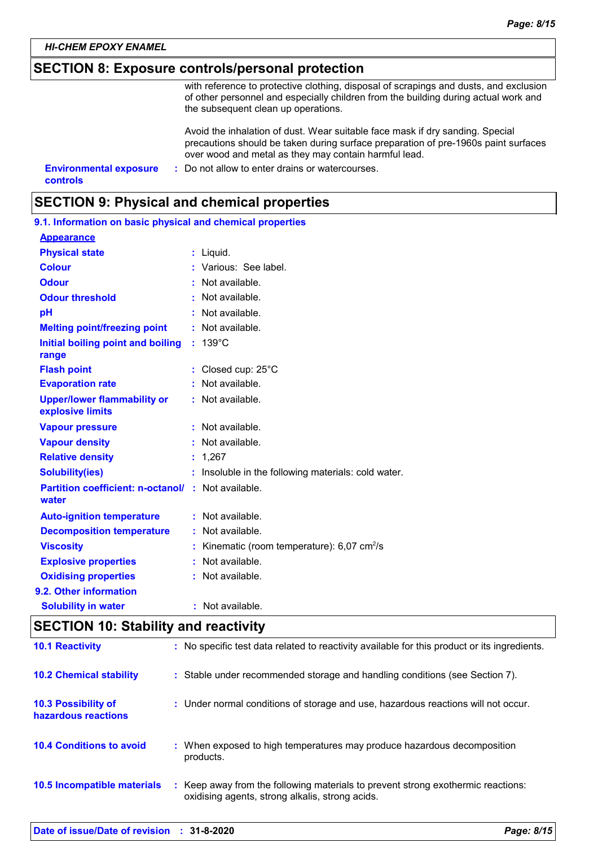### **SECTION 8: Exposure controls/personal protection**

with reference to protective clothing, disposal of scrapings and dusts, and exclusion of other personnel and especially children from the building during actual work and the subsequent clean up operations.

Avoid the inhalation of dust. Wear suitable face mask if dry sanding. Special precautions should be taken during surface preparation of pre-1960s paint surfaces over wood and metal as they may contain harmful lead.

**Environmental exposure : Do not allow to enter drains or watercourses. controls**

### **SECTION 9: Physical and chemical properties**

| 9.1. Information on basic physical and chemical properties         |                                                           |
|--------------------------------------------------------------------|-----------------------------------------------------------|
| <b>Appearance</b>                                                  |                                                           |
| <b>Physical state</b>                                              | : Liquid.                                                 |
| <b>Colour</b>                                                      | : Various: See label.                                     |
| <b>Odour</b>                                                       | $:$ Not available.                                        |
| <b>Odour threshold</b>                                             | : Not available.                                          |
| pH                                                                 | : Not available.                                          |
| <b>Melting point/freezing point</b>                                | : Not available.                                          |
| Initial boiling point and boiling<br>range                         | $: 139^{\circ}$ C                                         |
| <b>Flash point</b>                                                 | : Closed cup: 25°C                                        |
| <b>Evaporation rate</b>                                            | $:$ Not available.                                        |
| <b>Upper/lower flammability or</b><br>explosive limits             | : Not available.                                          |
| <b>Vapour pressure</b>                                             | : Not available.                                          |
| <b>Vapour density</b>                                              | : Not available.                                          |
| <b>Relative density</b>                                            | : 1,267                                                   |
| <b>Solubility(ies)</b>                                             | : Insoluble in the following materials: cold water.       |
| <b>Partition coefficient: n-octanol/ : Not available.</b><br>water |                                                           |
| <b>Auto-ignition temperature</b>                                   | : Not available.                                          |
| <b>Decomposition temperature</b>                                   | : Not available.                                          |
| <b>Viscosity</b>                                                   | : Kinematic (room temperature): $6,07$ cm <sup>2</sup> /s |
| <b>Explosive properties</b>                                        | : Not available.                                          |
| <b>Oxidising properties</b>                                        | : Not available.                                          |
| 9.2. Other information                                             |                                                           |
| <b>Solubility in water</b>                                         | : Not available.                                          |

### **SECTION 10: Stability and reactivity**

| <b>10.1 Reactivity</b>                            | : No specific test data related to reactivity available for this product or its ingredients.                                        |
|---------------------------------------------------|-------------------------------------------------------------------------------------------------------------------------------------|
| <b>10.2 Chemical stability</b>                    | : Stable under recommended storage and handling conditions (see Section 7).                                                         |
| <b>10.3 Possibility of</b><br>hazardous reactions | : Under normal conditions of storage and use, hazardous reactions will not occur.                                                   |
| <b>10.4 Conditions to avoid</b>                   | : When exposed to high temperatures may produce hazardous decomposition<br>products.                                                |
| 10.5 Incompatible materials                       | : Keep away from the following materials to prevent strong exothermic reactions:<br>oxidising agents, strong alkalis, strong acids. |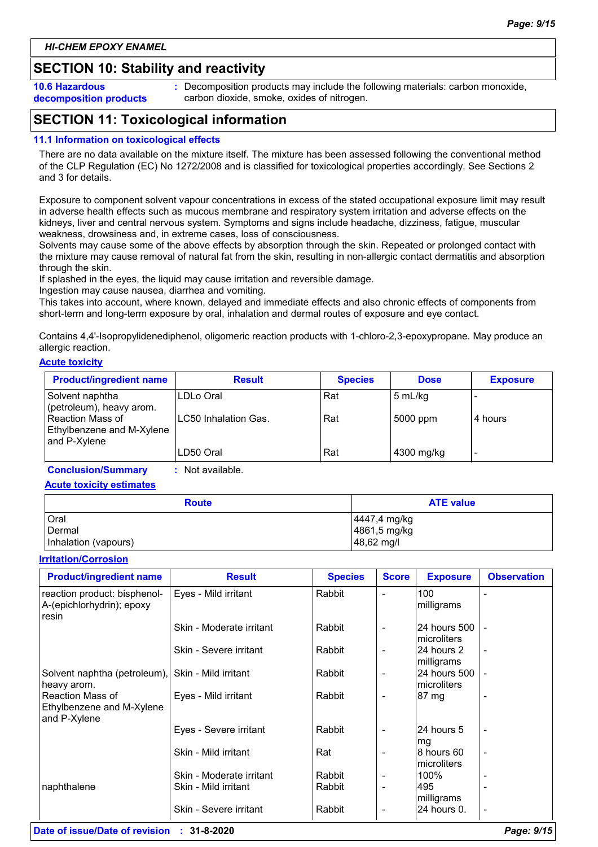### **SECTION 10: Stability and reactivity**

**10.6 Hazardous decomposition products** **:** Decomposition products may include the following materials: carbon monoxide, carbon dioxide, smoke, oxides of nitrogen.

### **SECTION 11: Toxicological information**

#### **11.1 Information on toxicological effects**

There are no data available on the mixture itself. The mixture has been assessed following the conventional method of the CLP Regulation (EC) No 1272/2008 and is classified for toxicological properties accordingly. See Sections 2 and 3 for details.

Exposure to component solvent vapour concentrations in excess of the stated occupational exposure limit may result in adverse health effects such as mucous membrane and respiratory system irritation and adverse effects on the kidneys, liver and central nervous system. Symptoms and signs include headache, dizziness, fatigue, muscular weakness, drowsiness and, in extreme cases, loss of consciousness.

Solvents may cause some of the above effects by absorption through the skin. Repeated or prolonged contact with the mixture may cause removal of natural fat from the skin, resulting in non-allergic contact dermatitis and absorption through the skin.

If splashed in the eyes, the liquid may cause irritation and reversible damage.

Ingestion may cause nausea, diarrhea and vomiting.

This takes into account, where known, delayed and immediate effects and also chronic effects of components from short-term and long-term exposure by oral, inhalation and dermal routes of exposure and eye contact.

Contains 4,4'-Isopropylidenediphenol, oligomeric reaction products with 1-chloro-2,3-epoxypropane. May produce an allergic reaction.

#### **Acute toxicity**

| <b>Product/ingredient name</b>                                | <b>Result</b>        | <b>Species</b> | <b>Dose</b> | <b>Exposure</b> |
|---------------------------------------------------------------|----------------------|----------------|-------------|-----------------|
| Solvent naphtha<br>(petroleum), heavy arom.                   | ILDLo Oral           | Rat            | 5 mL/kg     |                 |
| Reaction Mass of<br>Ethylbenzene and M-Xylene<br>and P-Xylene | LC50 Inhalation Gas. | Rat            | 5000 ppm    | 4 hours         |
|                                                               | LD50 Oral            | Rat            | 4300 mg/kg  | -               |

**Conclusion/Summary :** Not available.

**Acute toxicity estimates**

| <b>Route</b>         | <b>ATE value</b> |
|----------------------|------------------|
| Oral                 | 4447,4 mg/kg     |
| Dermal               | 4861,5 mg/kg     |
| Inhalation (vapours) | 48,62 mg/l       |

#### **Irritation/Corrosion**

| <b>Product/ingredient name</b>                                       | <b>Result</b>                                    | <b>Species</b>   | <b>Score</b>                                         | <b>Exposure</b>                            | <b>Observation</b>       |
|----------------------------------------------------------------------|--------------------------------------------------|------------------|------------------------------------------------------|--------------------------------------------|--------------------------|
| reaction product: bisphenol-<br>A-(epichlorhydrin); epoxy<br>resin   | Eyes - Mild irritant                             | Rabbit           |                                                      | 100<br>milligrams                          |                          |
|                                                                      | Skin - Moderate irritant                         | Rabbit           | $\overline{\phantom{a}}$                             | <b>24 hours 500</b><br>Imicroliters        |                          |
|                                                                      | Skin - Severe irritant                           | Rabbit           | $\overline{\phantom{a}}$                             | 24 hours 2<br>milligrams                   | $\overline{\phantom{a}}$ |
| Solvent naphtha (petroleum), Skin - Mild irritant<br>heavy arom.     |                                                  | Rabbit           | $\overline{\phantom{a}}$                             | <b>24 hours 500</b><br><b>Imicroliters</b> |                          |
| <b>Reaction Mass of</b><br>Ethylbenzene and M-Xylene<br>and P-Xylene | Eyes - Mild irritant                             | Rabbit           | $\qquad \qquad \blacksquare$                         | 87 mg                                      |                          |
|                                                                      | Eyes - Severe irritant                           | Rabbit           | $\overline{\phantom{a}}$                             | 24 hours 5<br>mg                           |                          |
|                                                                      | Skin - Mild irritant                             | Rat              | $\overline{\phantom{a}}$                             | 8 hours 60<br>Imicroliters                 |                          |
| naphthalene                                                          | Skin - Moderate irritant<br>Skin - Mild irritant | Rabbit<br>Rabbit | $\overline{\phantom{a}}$<br>$\overline{\phantom{a}}$ | 100%<br>495<br>milligrams                  |                          |
|                                                                      | Skin - Severe irritant                           | Rabbit           | $\qquad \qquad \blacksquare$                         | 24 hours 0.                                |                          |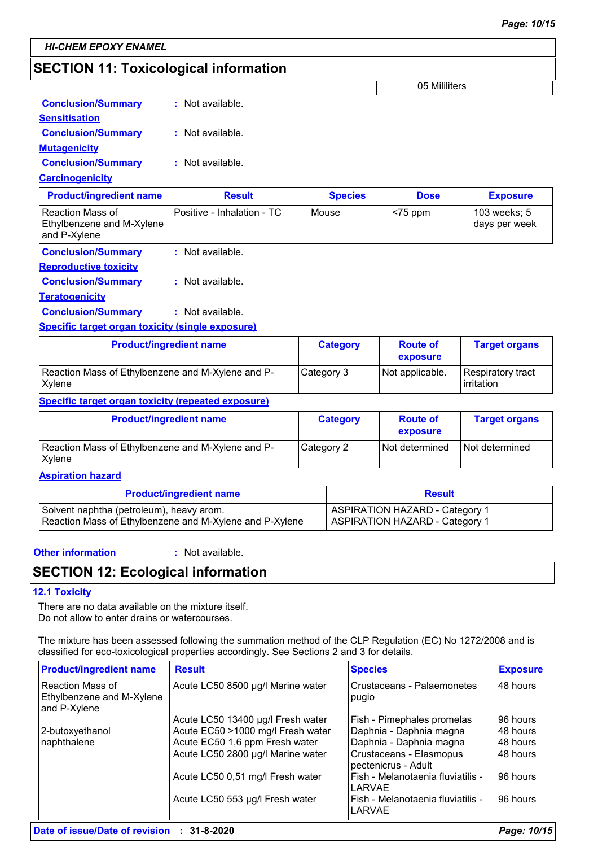### **SECTION 11: Toxicological information**

|                                                                      |                                |                 | 05 Mililiters               |                                 |
|----------------------------------------------------------------------|--------------------------------|-----------------|-----------------------------|---------------------------------|
| <b>Conclusion/Summary</b>                                            | $:$ Not available.             |                 |                             |                                 |
| <b>Sensitisation</b>                                                 |                                |                 |                             |                                 |
| <b>Conclusion/Summary</b>                                            | : Not available.               |                 |                             |                                 |
| <b>Mutagenicity</b>                                                  |                                |                 |                             |                                 |
| <b>Conclusion/Summary</b>                                            | $:$ Not available.             |                 |                             |                                 |
| <b>Carcinogenicity</b>                                               |                                |                 |                             |                                 |
| <b>Product/ingredient name</b>                                       | <b>Result</b>                  | <b>Species</b>  | <b>Dose</b>                 | <b>Exposure</b>                 |
| <b>Reaction Mass of</b><br>Ethylbenzene and M-Xylene<br>and P-Xylene | Positive - Inhalation - TC     | Mouse           | $<$ 75 ppm                  | 103 weeks; 5<br>days per week   |
| <b>Conclusion/Summary</b>                                            | : Not available.               |                 |                             |                                 |
| <b>Reproductive toxicity</b>                                         |                                |                 |                             |                                 |
| <b>Conclusion/Summary</b>                                            | : Not available.               |                 |                             |                                 |
| <b>Teratogenicity</b>                                                |                                |                 |                             |                                 |
| <b>Conclusion/Summary</b>                                            | : Not available.               |                 |                             |                                 |
| <b>Specific target organ toxicity (single exposure)</b>              |                                |                 |                             |                                 |
|                                                                      | <b>Product/ingredient name</b> | <b>Category</b> | <b>Route of</b><br>exposure | <b>Target organs</b>            |
| Reaction Mass of Ethylbenzene and M-Xylene and P-<br>Xylene          |                                | Category 3      | Not applicable.             | Respiratory tract<br>irritation |

#### **Specific target organ toxicity (repeated exposure)**

| <b>Product/ingredient name</b>                              | Category   | <b>Route of</b><br>exposure | <b>Target organs</b> |
|-------------------------------------------------------------|------------|-----------------------------|----------------------|
| Reaction Mass of Ethylbenzene and M-Xylene and P-<br>Xylene | Category 2 | Not determined              | I Not determined     |

#### **Aspiration hazard**

| <b>Product/ingredient name</b>                          | <b>Result</b>                         |
|---------------------------------------------------------|---------------------------------------|
| Solvent naphtha (petroleum), heavy arom.                | <b>ASPIRATION HAZARD - Category 1</b> |
| Reaction Mass of Ethylbenzene and M-Xylene and P-Xylene | ASPIRATION HAZARD - Category 1        |

#### **Other information :**

: Not available.

### **SECTION 12: Ecological information**

#### **12.1 Toxicity**

There are no data available on the mixture itself. Do not allow to enter drains or watercourses.

The mixture has been assessed following the summation method of the CLP Regulation (EC) No 1272/2008 and is classified for eco-toxicological properties accordingly. See Sections 2 and 3 for details.

| <b>Product/ingredient name</b>                                | <b>Result</b>                     | <b>Species</b>                                 | <b>Exposure</b> |
|---------------------------------------------------------------|-----------------------------------|------------------------------------------------|-----------------|
| Reaction Mass of<br>Ethylbenzene and M-Xylene<br>and P-Xylene | Acute LC50 8500 µg/l Marine water | Crustaceans - Palaemonetes<br>pugio            | 48 hours        |
|                                                               | Acute LC50 13400 µg/l Fresh water | Fish - Pimephales promelas                     | 96 hours        |
| 2-butoxyethanol                                               | Acute EC50 >1000 mg/l Fresh water | Daphnia - Daphnia magna                        | 48 hours        |
| naphthalene                                                   | Acute EC50 1,6 ppm Fresh water    | Daphnia - Daphnia magna                        | 48 hours        |
|                                                               | Acute LC50 2800 µg/l Marine water | Crustaceans - Elasmopus<br>pectenicrus - Adult | 48 hours        |
|                                                               | Acute LC50 0,51 mg/l Fresh water  | Fish - Melanotaenia fluviatilis -<br>LARVAE    | 96 hours        |
|                                                               | Acute LC50 553 µg/l Fresh water   | Fish - Melanotaenia fluviatilis -<br>LARVAE    | 96 hours        |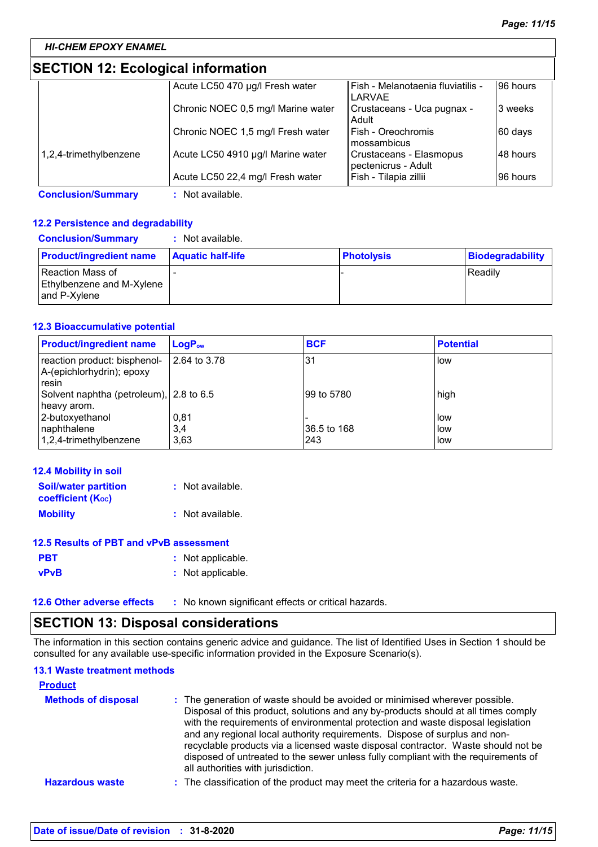### **SECTION 12: Ecological information**

|                        | Acute LC50 470 µg/l Fresh water    | Fish - Melanotaenia fluviatilis -<br>LARVAE    | 96 hours |
|------------------------|------------------------------------|------------------------------------------------|----------|
|                        | Chronic NOEC 0,5 mg/l Marine water | Crustaceans - Uca pugnax -<br>Adult            | 3 weeks  |
|                        | Chronic NOEC 1,5 mg/l Fresh water  | l Fish - Oreochromis<br>mossambicus            | 60 days  |
| 1,2,4-trimethylbenzene | Acute LC50 4910 µg/l Marine water  | Crustaceans - Elasmopus<br>pectenicrus - Adult | 48 hours |
|                        | Acute LC50 22,4 mg/l Fresh water   | Fish - Tilapia zillii                          | 96 hours |

**Conclusion/Summary :** Not available.

#### **12.2 Persistence and degradability**

| <b>Conclusion/Summary</b>                                     | : Not available.         |                   |                  |
|---------------------------------------------------------------|--------------------------|-------------------|------------------|
| <b>Product/ingredient name</b>                                | <b>Aquatic half-life</b> | <b>Photolysis</b> | Biodegradability |
| Reaction Mass of<br>Ethylbenzene and M-Xylene<br>and P-Xylene |                          |                   | Readily          |

#### **12.3 Bioaccumulative potential**

| <b>Product/ingredient name</b>                                     | LogP <sub>ow</sub>  | <b>BCF</b>         | <b>Potential</b>  |
|--------------------------------------------------------------------|---------------------|--------------------|-------------------|
| reaction product: bisphenol-<br>A-(epichlorhydrin); epoxy<br>resin | 2.64 to 3.78        | 31                 | low               |
| Solvent naphtha (petroleum), 2.8 to 6.5<br>heavy arom.             |                     | 199 to 5780        | high              |
| 2-butoxyethanol<br>naphthalene<br>1,2,4-trimethylbenzene           | 0,81<br>3,4<br>3,63 | 36.5 to 168<br>243 | low<br>low<br>low |

| 12.4 Mobility in soil                                   |                  |
|---------------------------------------------------------|------------------|
| <b>Soil/water partition</b><br><b>coefficient (Koc)</b> | : Not available. |
| <b>Mobility</b>                                         | : Not available. |

| 12.5 Results of PBT and vPvB assessment |                   |  |
|-----------------------------------------|-------------------|--|
| <b>PBT</b>                              | : Not applicable. |  |
| <b>vPvB</b>                             | : Not applicable. |  |

**12.6 Other adverse effects** : No known significant effects or critical hazards.

### **SECTION 13: Disposal considerations**

The information in this section contains generic advice and guidance. The list of Identified Uses in Section 1 should be consulted for any available use-specific information provided in the Exposure Scenario(s).

### **13.1 Waste treatment methods**

| <b>Product</b>             |                                                                                                                                                                                                                                                                                                                                                                                                                                                                                                                                                      |
|----------------------------|------------------------------------------------------------------------------------------------------------------------------------------------------------------------------------------------------------------------------------------------------------------------------------------------------------------------------------------------------------------------------------------------------------------------------------------------------------------------------------------------------------------------------------------------------|
| <b>Methods of disposal</b> | : The generation of waste should be avoided or minimised wherever possible.<br>Disposal of this product, solutions and any by-products should at all times comply<br>with the requirements of environmental protection and waste disposal legislation<br>and any regional local authority requirements. Dispose of surplus and non-<br>recyclable products via a licensed waste disposal contractor. Waste should not be<br>disposed of untreated to the sewer unless fully compliant with the requirements of<br>all authorities with jurisdiction. |
| <b>Hazardous waste</b>     | : The classification of the product may meet the criteria for a hazardous waste.                                                                                                                                                                                                                                                                                                                                                                                                                                                                     |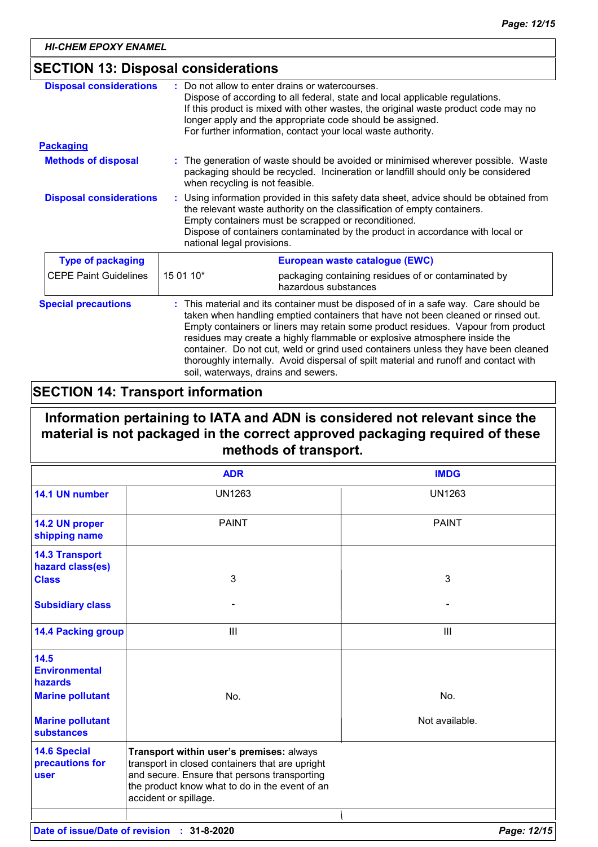### **SECTION 13: Disposal considerations**

| <b>Disposal considerations</b> | Do not allow to enter drains or watercourses.<br>Dispose of according to all federal, state and local applicable regulations.<br>If this product is mixed with other wastes, the original waste product code may no<br>longer apply and the appropriate code should be assigned.<br>For further information, contact your local waste authority.                                                                                                                                                                                                            |
|--------------------------------|-------------------------------------------------------------------------------------------------------------------------------------------------------------------------------------------------------------------------------------------------------------------------------------------------------------------------------------------------------------------------------------------------------------------------------------------------------------------------------------------------------------------------------------------------------------|
| <b>Packaging</b>               |                                                                                                                                                                                                                                                                                                                                                                                                                                                                                                                                                             |
| <b>Methods of disposal</b>     | : The generation of waste should be avoided or minimised wherever possible. Waste<br>packaging should be recycled. Incineration or landfill should only be considered<br>when recycling is not feasible.                                                                                                                                                                                                                                                                                                                                                    |
| <b>Disposal considerations</b> | Using information provided in this safety data sheet, advice should be obtained from<br>the relevant waste authority on the classification of empty containers.<br>Empty containers must be scrapped or reconditioned.<br>Dispose of containers contaminated by the product in accordance with local or<br>national legal provisions.                                                                                                                                                                                                                       |
| <b>Type of packaging</b>       | European waste catalogue (EWC)                                                                                                                                                                                                                                                                                                                                                                                                                                                                                                                              |
| <b>CEPE Paint Guidelines</b>   | 15 01 10*<br>packaging containing residues of or contaminated by<br>hazardous substances                                                                                                                                                                                                                                                                                                                                                                                                                                                                    |
| <b>Special precautions</b>     | This material and its container must be disposed of in a safe way. Care should be<br>taken when handling emptied containers that have not been cleaned or rinsed out.<br>Empty containers or liners may retain some product residues. Vapour from product<br>residues may create a highly flammable or explosive atmosphere inside the<br>container. Do not cut, weld or grind used containers unless they have been cleaned<br>thoroughly internally. Avoid dispersal of spilt material and runoff and contact with<br>soil, waterways, drains and sewers. |

### **SECTION 14: Transport information**

### **Information pertaining to IATA and ADN is considered not relevant since the material is not packaged in the correct approved packaging required of these methods of transport.**

|                                                                                               | <b>ADR</b>                                                                                                                                                                                                             | <b>IMDG</b>           |
|-----------------------------------------------------------------------------------------------|------------------------------------------------------------------------------------------------------------------------------------------------------------------------------------------------------------------------|-----------------------|
| 14.1 UN number                                                                                | <b>UN1263</b>                                                                                                                                                                                                          | <b>UN1263</b>         |
| 14.2 UN proper<br>shipping name                                                               | <b>PAINT</b>                                                                                                                                                                                                           | <b>PAINT</b>          |
| <b>14.3 Transport</b><br>hazard class(es)<br><b>Class</b>                                     | 3                                                                                                                                                                                                                      | 3                     |
| <b>Subsidiary class</b>                                                                       |                                                                                                                                                                                                                        |                       |
| <b>14.4 Packing group</b>                                                                     | $\mathbf{III}$                                                                                                                                                                                                         | III                   |
| 14.5<br><b>Environmental</b><br>hazards<br><b>Marine pollutant</b><br><b>Marine pollutant</b> | No.                                                                                                                                                                                                                    | No.<br>Not available. |
| <b>substances</b><br><b>14.6 Special</b><br>precautions for<br><b>user</b>                    | Transport within user's premises: always<br>transport in closed containers that are upright<br>and secure. Ensure that persons transporting<br>the product know what to do in the event of an<br>accident or spillage. |                       |
|                                                                                               |                                                                                                                                                                                                                        |                       |
| Date of issue/Date of revision :                                                              | 31-8-2020                                                                                                                                                                                                              | Page: 12/15           |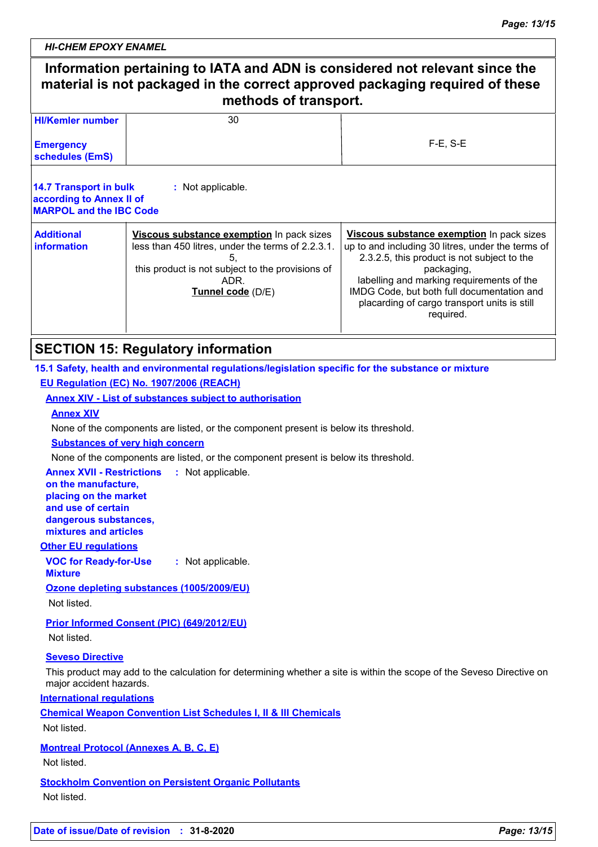### **Information pertaining to IATA and ADN is considered not relevant since the material is not packaged in the correct approved packaging required of these methods of transport.**  $\overline{30}$ **HI/Kemler number**

| <b>Filmeinier number</b><br><b>Emergency</b><br>schedules (EmS)                      | ΟU                                                                                                                                                                                    | $F-E$ , $S-E$                                                                                                                                                                                                                                                                                                       |
|--------------------------------------------------------------------------------------|---------------------------------------------------------------------------------------------------------------------------------------------------------------------------------------|---------------------------------------------------------------------------------------------------------------------------------------------------------------------------------------------------------------------------------------------------------------------------------------------------------------------|
| 14.7 Transport in bulk<br>according to Annex II of<br><b>MARPOL and the IBC Code</b> | : Not applicable.                                                                                                                                                                     |                                                                                                                                                                                                                                                                                                                     |
| <b>Additional</b><br>information                                                     | Viscous substance exemption In pack sizes<br>less than 450 litres, under the terms of 2.2.3.1.<br>5.<br>this product is not subject to the provisions of<br>ADR.<br>Tunnel code (D/E) | Viscous substance exemption In pack sizes<br>up to and including 30 litres, under the terms of<br>2.3.2.5, this product is not subject to the<br>packaging,<br>labelling and marking requirements of the<br>IMDG Code, but both full documentation and<br>placarding of cargo transport units is still<br>required. |

### **SECTION 15: Regulatory information**

### **15.1 Safety, health and environmental regulations/legislation specific for the substance or mixture EU Regulation (EC) No. 1907/2006 (REACH)**

**Annex XIV - List of substances subject to authorisation**

#### **Annex XIV**

None of the components are listed, or the component present is below its threshold.

#### **Substances of very high concern**

None of the components are listed, or the component present is below its threshold.

#### **Annex XVII - Restrictions : Not applicable. on the manufacture,**

**placing on the market and use of certain dangerous substances, mixtures and articles**

### **Other EU regulations**

**VOC for Ready-for-Use :** Not applicable.

#### **Mixture**

**Ozone depleting substances (1005/2009/EU)**

Not listed.

**Prior Informed Consent (PIC) (649/2012/EU)**

Not listed.

#### **Seveso Directive**

This product may add to the calculation for determining whether a site is within the scope of the Seveso Directive on major accident hazards.

**International regulations**

**Chemical Weapon Convention List Schedules I, II & III Chemicals**

Not listed.

**Montreal Protocol (Annexes A, B, C, E)**

Not listed.

**Stockholm Convention on Persistent Organic Pollutants** Not listed.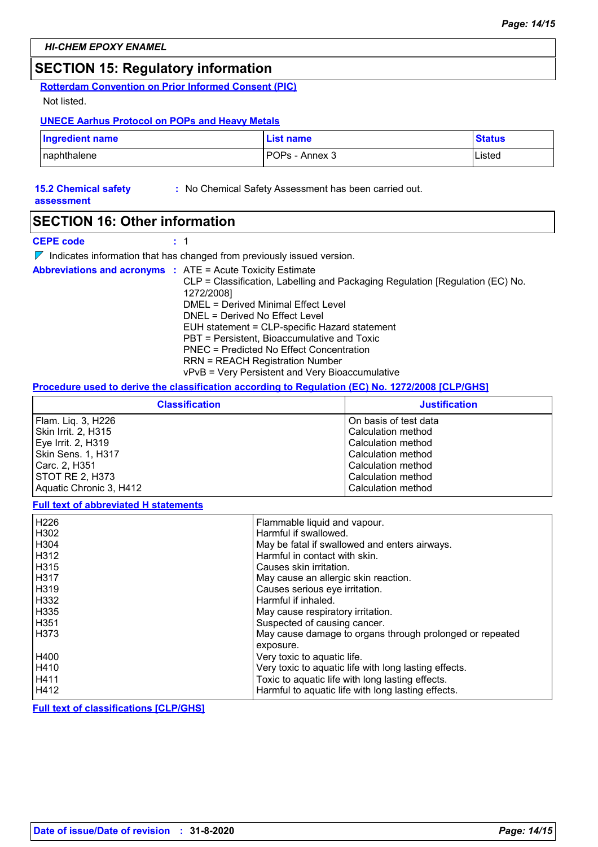### **SECTION 15: Regulatory information**

**Rotterdam Convention on Prior Informed Consent (PIC)**

Not listed.

#### **UNECE Aarhus Protocol on POPs and Heavy Metals**

| <b>Ingredient name</b> | <b>List name</b> | <b>Status</b> |
|------------------------|------------------|---------------|
| naphthalene            | POPs - Annex 3   | Listed        |

### **15.2 Chemical safety**

**:** No Chemical Safety Assessment has been carried out.

**assessment**

### **SECTION 16: Other information**

**CEPE code :** 1

 $\nabla$  Indicates information that has changed from previously issued version.

| <b>Abbreviations and acronyms : ATE = Acute Toxicity Estimate</b> |                                                                               |
|-------------------------------------------------------------------|-------------------------------------------------------------------------------|
|                                                                   | CLP = Classification, Labelling and Packaging Regulation [Regulation (EC) No. |
|                                                                   | 1272/2008]                                                                    |
|                                                                   | DMEL = Derived Minimal Effect Level                                           |
|                                                                   | DNEL = Derived No Effect Level                                                |
|                                                                   | EUH statement = CLP-specific Hazard statement                                 |
|                                                                   | PBT = Persistent, Bioaccumulative and Toxic                                   |
|                                                                   | PNEC = Predicted No Effect Concentration                                      |
|                                                                   | <b>RRN = REACH Registration Number</b>                                        |
|                                                                   | vPvB = Very Persistent and Very Bioaccumulative                               |

#### **Procedure used to derive the classification according to Regulation (EC) No. 1272/2008 [CLP/GHS]**

| <b>Classification</b>     | <b>Justification</b>  |
|---------------------------|-----------------------|
| Flam. Liq. 3, H226        | On basis of test data |
| Skin Irrit. 2, H315       | Calculation method    |
| Eye Irrit. 2, H319        | Calculation method    |
| <b>Skin Sens. 1, H317</b> | Calculation method    |
| Carc. 2, H351             | Calculation method    |
| STOT RE 2, H373           | Calculation method    |
| Aquatic Chronic 3, H412   | Calculation method    |

#### **Full text of abbreviated H statements**

| H226        | Flammable liquid and vapour.                             |
|-------------|----------------------------------------------------------|
| H302        | Harmful if swallowed.                                    |
| H304        | May be fatal if swallowed and enters airways.            |
| H312        | Harmful in contact with skin.                            |
| H315        | Causes skin irritation.                                  |
| <b>H317</b> | May cause an allergic skin reaction.                     |
| H319        | Causes serious eye irritation.                           |
| H332        | Harmful if inhaled.                                      |
| H335        | May cause respiratory irritation.                        |
| H351        | Suspected of causing cancer.                             |
| l H373      | May cause damage to organs through prolonged or repeated |
|             | exposure.                                                |
| H400        | Very toxic to aquatic life.                              |
| H410        | Very toxic to aquatic life with long lasting effects.    |
| H411        | Toxic to aquatic life with long lasting effects.         |
| H412        | Harmful to aquatic life with long lasting effects.       |

**Full text of classifications [CLP/GHS]**